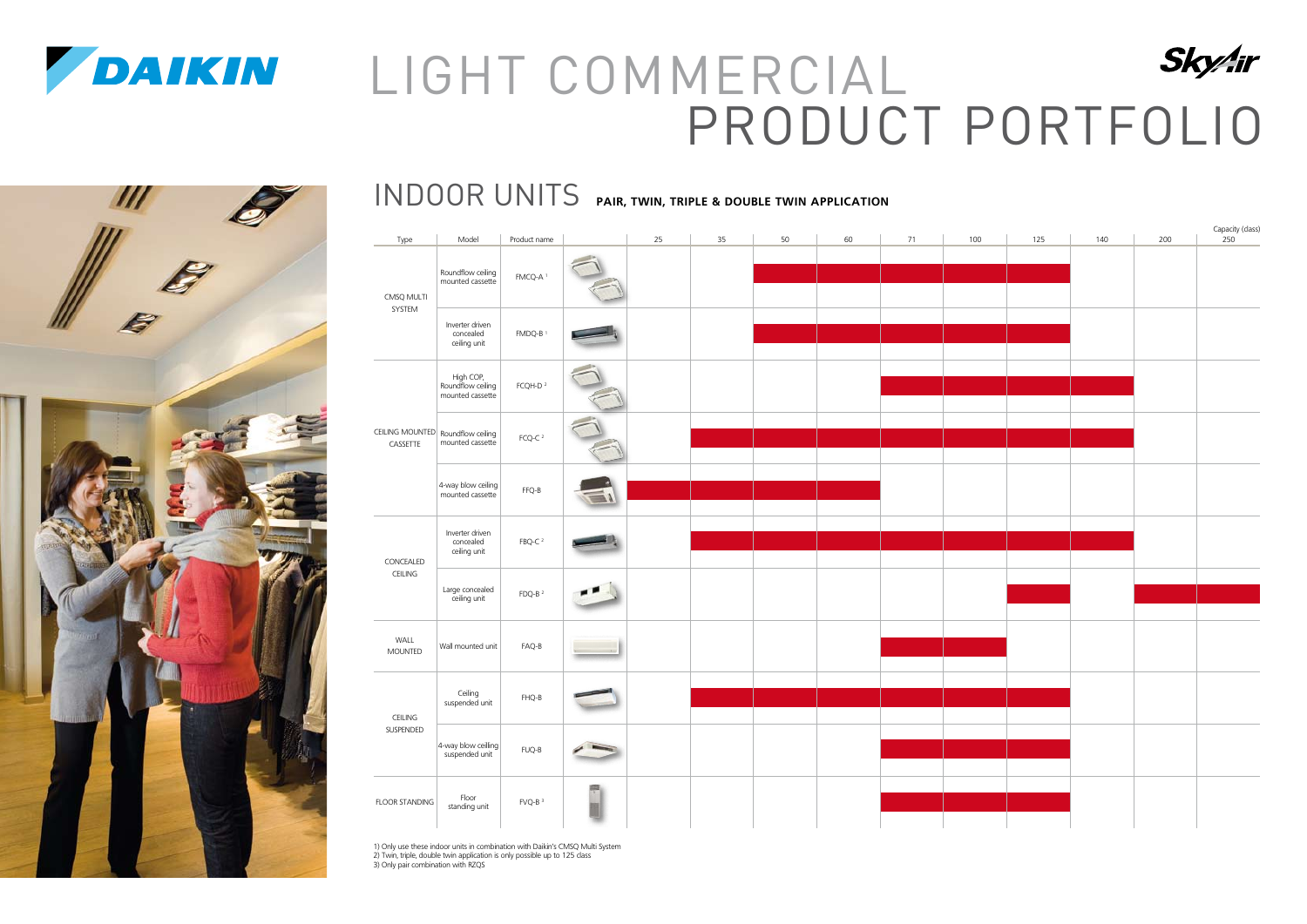|                                               |                                                    |                      |   |    |    |    |    |    |     |     |     |     | Capacity (class)<br>250 |
|-----------------------------------------------|----------------------------------------------------|----------------------|---|----|----|----|----|----|-----|-----|-----|-----|-------------------------|
| Type                                          | Model                                              | Product name         |   | 25 | 35 | 50 | 60 | 71 | 100 | 125 | 140 | 200 |                         |
| CMSQ MULTI<br>SYSTEM                          | Roundflow ceiling<br>mounted cassette              | FMCQ-A <sup>1</sup>  |   |    |    |    |    |    |     |     |     |     |                         |
|                                               | Inverter driven<br>concealed<br>ceiling unit       | FMDQ-B <sup>1</sup>  |   |    |    |    |    |    |     |     |     |     |                         |
| CEILING MOUNTED Roundflow ceiling<br>CASSETTE | High COP,<br>Roundflow ceiling<br>mounted cassette | FCQH-D $^2$          |   |    |    |    |    |    |     |     |     |     |                         |
|                                               | mounted cassette                                   | FCQ-C $2$            |   |    |    |    |    |    |     |     |     |     |                         |
|                                               | 4-way blow ceiling                                 | FFQ-B                |   |    |    |    |    |    |     |     |     |     |                         |
| CONCEALED<br>CEILING                          | Inverter driven<br>concealed<br>ceiling unit       | $FBQ-C2$             |   |    |    |    |    |    |     |     |     |     |                         |
|                                               | Large concealed<br>ceiling unit                    | FDQ-B $^2$           |   |    |    |    |    |    |     |     |     |     |                         |
| WALL<br><b>MOUNTED</b>                        | Wall mounted unit                                  | $FAQ-B$              |   |    |    |    |    |    |     |     |     |     |                         |
| CEILING<br>SUSPENDED                          | Ceiling<br>suspended unit                          | $FHQ-B$              |   |    |    |    |    |    |     |     |     |     |                         |
|                                               | 4-way blow ceilling                                | $FUQ-B$              |   |    |    |    |    |    |     |     |     |     |                         |
| <b>FLOOR STANDING</b>                         | Floor<br>standing unit                             | $FVQ-B$ <sup>3</sup> | 쀤 |    |    |    |    |    |     |     |     |     |                         |

1) Only use these indoor units in combination with Daikin's CMSQ Multi System 2) Twin, triple, double twin application is only possible up to 125 class 3) Only pair combination with RZQS

#### INDOOR UNITS **PAIR, TWIN, TRIPLE & DOUBLE TWIN APPLICATION**



# LIGHT COMMERCIAL PRODUCT PORTFOLIO